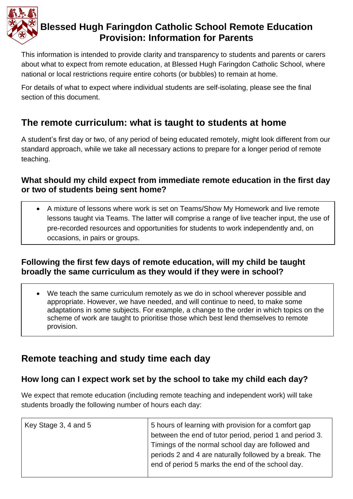

# **Blessed Hugh Faringdon Catholic School Remote Education Provision: Information for Parents**

This information is intended to provide clarity and transparency to students and parents or carers about what to expect from remote education, at Blessed Hugh Faringdon Catholic School, where national or local restrictions require entire cohorts (or bubbles) to remain at home.

For details of what to expect where individual students are self-isolating, please see the final section of this document.

## **The remote curriculum: what is taught to students at home**

A student's first day or two, of any period of being educated remotely, might look different from our standard approach, while we take all necessary actions to prepare for a longer period of remote teaching.

#### **What should my child expect from immediate remote education in the first day or two of students being sent home?**

• A mixture of lessons where work is set on Teams/Show My Homework and live remote lessons taught via Teams. The latter will comprise a range of live teacher input, the use of pre-recorded resources and opportunities for students to work independently and, on occasions, in pairs or groups.

#### **Following the first few days of remote education, will my child be taught broadly the same curriculum as they would if they were in school?**

• We teach the same curriculum remotely as we do in school wherever possible and appropriate. However, we have needed, and will continue to need, to make some adaptations in some subjects. For example, a change to the order in which topics on the scheme of work are taught to prioritise those which best lend themselves to remote provision.

# **Remote teaching and study time each day**

### **How long can I expect work set by the school to take my child each day?**

We expect that remote education (including remote teaching and independent work) will take students broadly the following number of hours each day:

| Key Stage 3, 4 and 5 | 5 hours of learning with provision for a comfort gap<br>between the end of tutor period, period 1 and period 3.                                                 |
|----------------------|-----------------------------------------------------------------------------------------------------------------------------------------------------------------|
|                      | Timings of the normal school day are followed and<br>periods 2 and 4 are naturally followed by a break. The<br>end of period 5 marks the end of the school day. |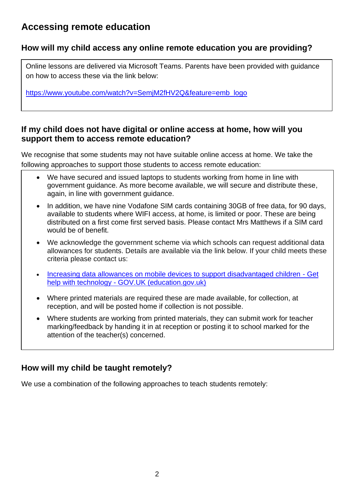## **Accessing remote education**

#### **How will my child access any online remote education you are providing?**

Online lessons are delivered via Microsoft Teams. Parents have been provided with guidance on how to access these via the link below:

[https://www.youtube.com/watch?v=SemjM2fHV2Q&feature=emb\\_logo](https://eur03.safelinks.protection.outlook.com/?url=https%3A%2F%2Fwww.youtube.com%2Fwatch%3Fv%3DSemjM2fHV2Q%26feature%3Demb_logo&data=04%7C01%7CS.Matthews%40hughfaringdon.org%7Caba60db6704642a2dd5f08d8b0da85ad%7C1ed17bf5191c4907b9581fed5864b6f1%7C0%7C0%7C637453799876841327%7CUnknown%7CTWFpbGZsb3d8eyJWIjoiMC4wLjAwMDAiLCJQIjoiV2luMzIiLCJBTiI6Ik1haWwiLCJXVCI6Mn0%3D%7C1000&sdata=93BBk7rhaDTjnl0pBuAREi2emJz2Lt%2BHdyGLeYdcCtA%3D&reserved=0)

#### **If my child does not have digital or online access at home, how will you support them to access remote education?**

We recognise that some students may not have suitable online access at home. We take the following approaches to support those students to access remote education:

- We have secured and issued laptops to students working from home in line with government guidance. As more become available, we will secure and distribute these, again, in line with government guidance.
- In addition, we have nine Vodafone SIM cards containing 30GB of free data, for 90 days, available to students where WIFI access, at home, is limited or poor. These are being distributed on a first come first served basis. Please contact Mrs Matthews if a SIM card would be of benefit.
- We acknowledge the government scheme via which schools can request additional data allowances for students. Details are available via the link below. If your child meets these criteria please contact us:
- [Increasing data allowances on mobile devices to support disadvantaged children -](https://get-help-with-tech.education.gov.uk/about-increasing-mobile-data) Get help with technology - [GOV.UK \(education.gov.uk\)](https://get-help-with-tech.education.gov.uk/about-increasing-mobile-data)
- Where printed materials are required these are made available, for collection, at reception, and will be posted home if collection is not possible.
- Where students are working from printed materials, they can submit work for teacher marking/feedback by handing it in at reception or posting it to school marked for the attention of the teacher(s) concerned.

### **How will my child be taught remotely?**

We use a combination of the following approaches to teach students remotely: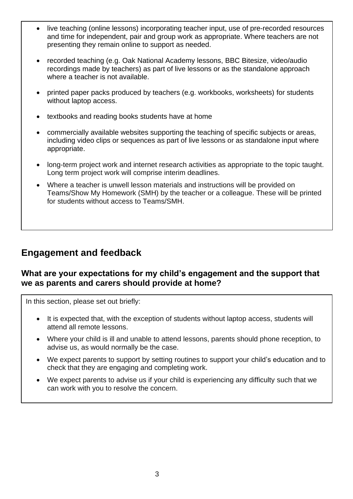- live teaching (online lessons) incorporating teacher input, use of pre-recorded resources and time for independent, pair and group work as appropriate. Where teachers are not presenting they remain online to support as needed.
- recorded teaching (e.g. Oak National Academy lessons, BBC Bitesize, video/audio recordings made by teachers) as part of live lessons or as the standalone approach where a teacher is not available.
- printed paper packs produced by teachers (e.g. workbooks, worksheets) for students without laptop access.
- textbooks and reading books students have at home
- commercially available websites supporting the teaching of specific subjects or areas, including video clips or sequences as part of live lessons or as standalone input where appropriate.
- long-term project work and internet research activities as appropriate to the topic taught. Long term project work will comprise interim deadlines.
- Where a teacher is unwell lesson materials and instructions will be provided on Teams/Show My Homework (SMH) by the teacher or a colleague. These will be printed for students without access to Teams/SMH.

## **Engagement and feedback**

#### **What are your expectations for my child's engagement and the support that we as parents and carers should provide at home?**

In this section, please set out briefly:

- It is expected that, with the exception of students without laptop access, students will attend all remote lessons.
- Where your child is ill and unable to attend lessons, parents should phone reception, to advise us, as would normally be the case.
- We expect parents to support by setting routines to support your child's education and to check that they are engaging and completing work.
- We expect parents to advise us if your child is experiencing any difficulty such that we can work with you to resolve the concern.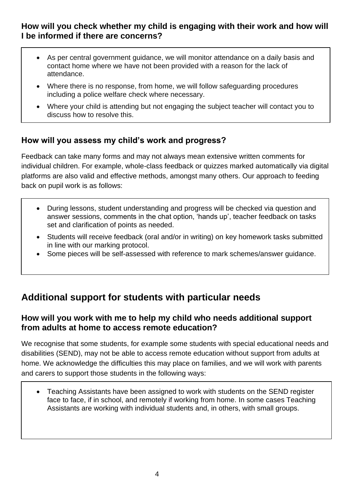#### **How will you check whether my child is engaging with their work and how will I be informed if there are concerns?**

- As per central government guidance, we will monitor attendance on a daily basis and contact home where we have not been provided with a reason for the lack of attendance.
- Where there is no response, from home, we will follow safeguarding procedures including a police welfare check where necessary.
- Where your child is attending but not engaging the subject teacher will contact you to discuss how to resolve this.

### **How will you assess my child's work and progress?**

Feedback can take many forms and may not always mean extensive written comments for individual children. For example, whole-class feedback or quizzes marked automatically via digital platforms are also valid and effective methods, amongst many others. Our approach to feeding back on pupil work is as follows:

- During lessons, student understanding and progress will be checked via question and answer sessions, comments in the chat option, 'hands up', teacher feedback on tasks set and clarification of points as needed.
- Students will receive feedback (oral and/or in writing) on key homework tasks submitted in line with our marking protocol.
- Some pieces will be self-assessed with reference to mark schemes/answer guidance.

## **Additional support for students with particular needs**

#### **How will you work with me to help my child who needs additional support from adults at home to access remote education?**

We recognise that some students, for example some students with special educational needs and disabilities (SEND), may not be able to access remote education without support from adults at home. We acknowledge the difficulties this may place on families, and we will work with parents and carers to support those students in the following ways:

• Teaching Assistants have been assigned to work with students on the SEND register face to face, if in school, and remotely if working from home. In some cases Teaching Assistants are working with individual students and, in others, with small groups.